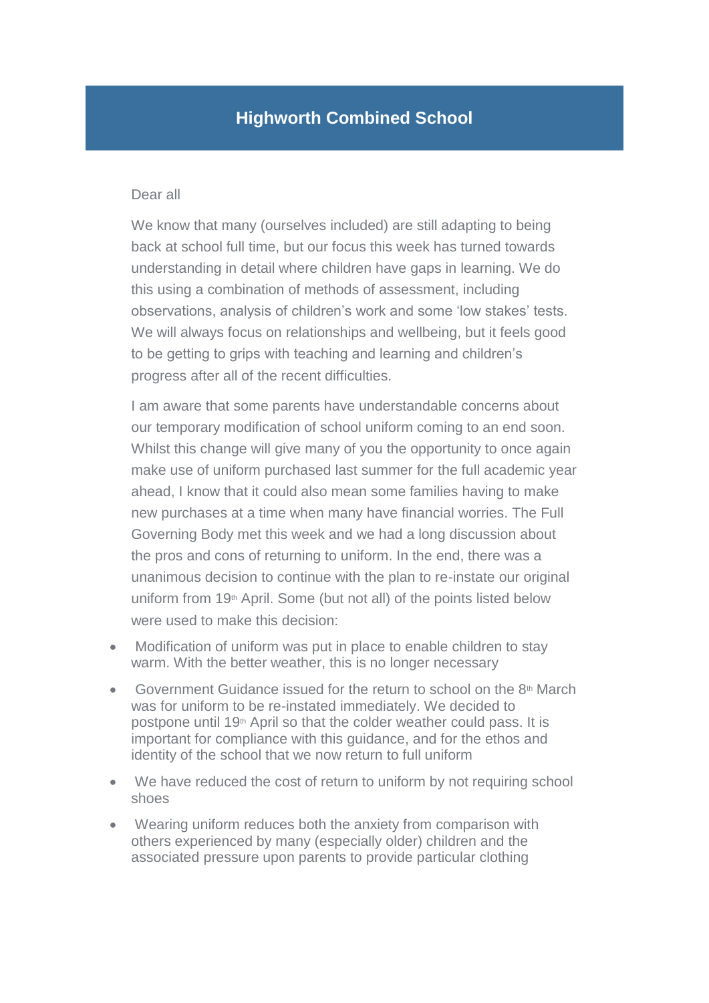## **Highworth Combined School**

## Dear all

We know that many (ourselves included) are still adapting to being back at school full time, but our focus this week has turned towards understanding in detail where children have gaps in learning. We do this using a combination of methods of assessment, including observations, analysis of children's work and some 'low stakes' tests. We will always focus on relationships and wellbeing, but it feels good to be getting to grips with teaching and learning and children's progress after all of the recent difficulties.

I am aware that some parents have understandable concerns about our temporary modification of school uniform coming to an end soon. Whilst this change will give many of you the opportunity to once again make use of uniform purchased last summer for the full academic year ahead, I know that it could also mean some families having to make new purchases at a time when many have financial worries. The Full Governing Body met this week and we had a long discussion about the pros and cons of returning to uniform. In the end, there was a unanimous decision to continue with the plan to re-instate our original uniform from 19<sup>th</sup> April. Some (but not all) of the points listed below were used to make this decision:

- Modification of uniform was put in place to enable children to stay warm. With the better weather, this is no longer necessary
- Government Guidance issued for the return to school on the  $8<sup>th</sup>$  March was for uniform to be re-instated immediately. We decided to postpone until 19<sup>th</sup> April so that the colder weather could pass. It is important for compliance with this guidance, and for the ethos and identity of the school that we now return to full uniform
- We have reduced the cost of return to uniform by not requiring school shoes
- Wearing uniform reduces both the anxiety from comparison with others experienced by many (especially older) children and the associated pressure upon parents to provide particular clothing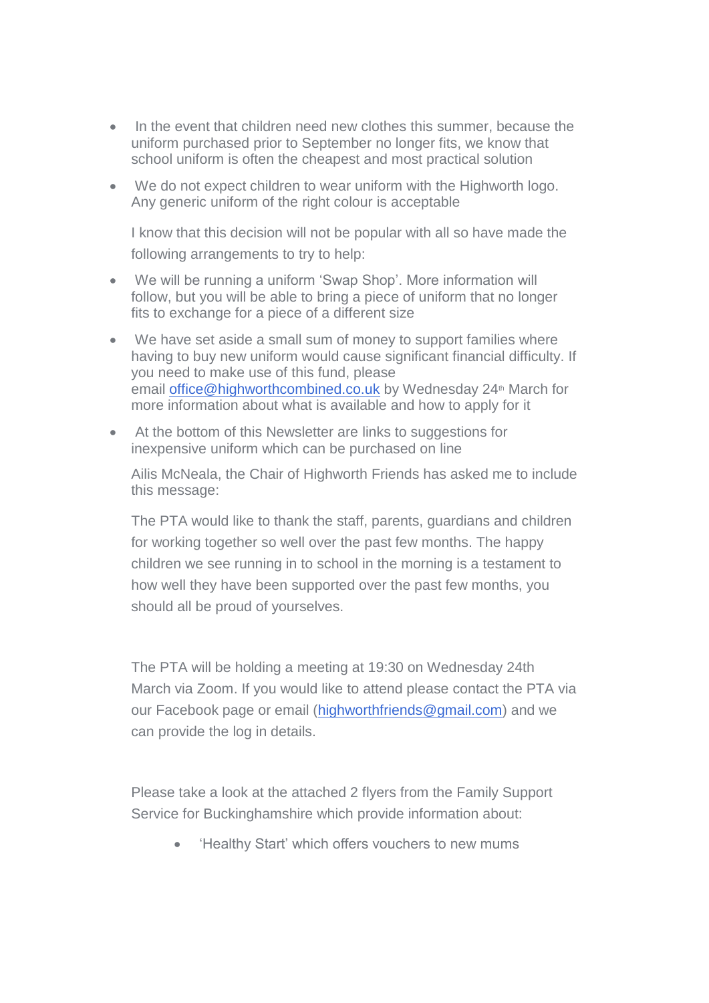- In the event that children need new clothes this summer, because the uniform purchased prior to September no longer fits, we know that school uniform is often the cheapest and most practical solution
- We do not expect children to wear uniform with the Highworth logo. Any generic uniform of the right colour is acceptable

I know that this decision will not be popular with all so have made the following arrangements to try to help:

- We will be running a uniform 'Swap Shop'. More information will follow, but you will be able to bring a piece of uniform that no longer fits to exchange for a piece of a different size
- We have set aside a small sum of money to support families where having to buy new uniform would cause significant financial difficulty. If you need to make use of this fund, please email [office@highworthcombined.co.uk](mailto:office@highworthcombined.co.uk) by Wednesday 24<sup>th</sup> March for more information about what is available and how to apply for it
- At the bottom of this Newsletter are links to suggestions for inexpensive uniform which can be purchased on line

Ailis McNeala, the Chair of Highworth Friends has asked me to include this message:

The PTA would like to thank the staff, parents, guardians and children for working together so well over the past few months. The happy children we see running in to school in the morning is a testament to how well they have been supported over the past few months, you should all be proud of yourselves.

The PTA will be holding a meeting at 19:30 on Wednesday 24th March via Zoom. If you would like to attend please contact the PTA via our Facebook page or email [\(highworthfriends@gmail.com\)](mailto:highworthfriends@gmail.com) and we can provide the log in details.

Please take a look at the attached 2 flyers from the Family Support Service for Buckinghamshire which provide information about:

• Healthy Start' which offers vouchers to new mums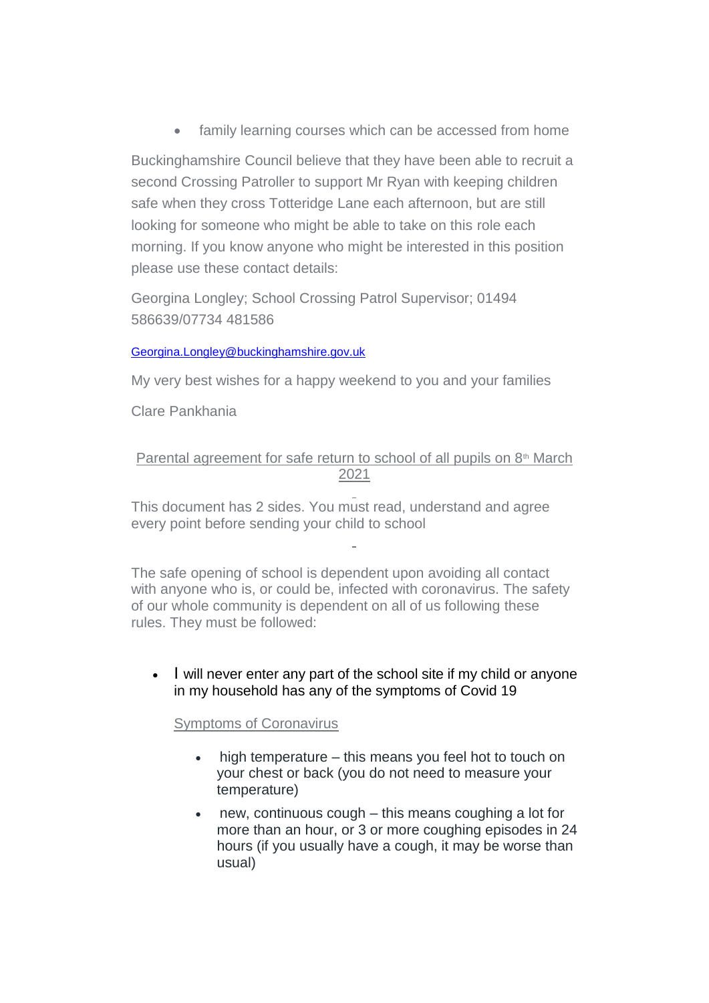• family learning courses which can be accessed from home

Buckinghamshire Council believe that they have been able to recruit a second Crossing Patroller to support Mr Ryan with keeping children safe when they cross Totteridge Lane each afternoon, but are still looking for someone who might be able to take on this role each morning. If you know anyone who might be interested in this position please use these contact details:

Georgina Longley; School Crossing Patrol Supervisor; 01494 586639/07734 481586

## [Georgina.Longley@buckinghamshire.gov.uk](mailto:Georgina.Longley@buckinghamshire.gov.uk)

My very best wishes for a happy weekend to you and your families

Clare Pankhania

## Parental agreement for safe return to school of all pupils on  $8<sup>th</sup>$  March 2021

This document has 2 sides. You must read, understand and agree every point before sending your child to school

The safe opening of school is dependent upon avoiding all contact with anyone who is, or could be, infected with coronavirus. The safety of our whole community is dependent on all of us following these rules. They must be followed:

• I will never enter any part of the school site if my child or anyone in my household has any of the symptoms of Covid 19

Symptoms of Coronavirus

- high temperature this means you feel hot to touch on your chest or back (you do not need to measure your temperature)
- new, continuous cough this means coughing a lot for more than an hour, or 3 or more coughing episodes in 24 hours (if you usually have a cough, it may be worse than usual)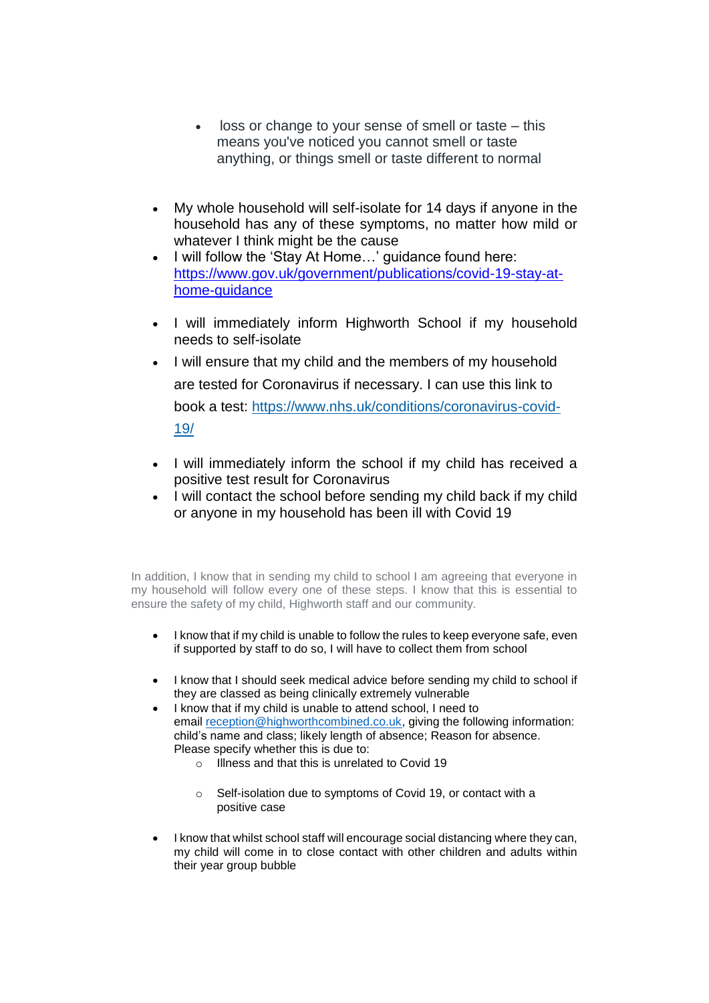- loss or change to your sense of smell or taste this means you've noticed you cannot smell or taste anything, or things smell or taste different to normal
- My whole household will self-isolate for 14 days if anyone in the household has any of these symptoms, no matter how mild or whatever I think might be the cause
- I will follow the 'Stay At Home…' guidance found here: [https://www.gov.uk/government/publications/covid-19-stay-at](https://www.gov.uk/government/publications/covid-19-stay-at-home-guidance)[home-guidance](https://www.gov.uk/government/publications/covid-19-stay-at-home-guidance)
- I will immediately inform Highworth School if my household needs to self-isolate
- I will ensure that my child and the members of my household are tested for Coronavirus if necessary. I can use this link to book a test: [https://www.nhs.uk/conditions/coronavirus-covid-](https://www.nhs.uk/conditions/coronavirus-covid-19/)[19/](https://www.nhs.uk/conditions/coronavirus-covid-19/)
- I will immediately inform the school if my child has received a positive test result for Coronavirus
- I will contact the school before sending my child back if my child or anyone in my household has been ill with Covid 19

In addition, I know that in sending my child to school I am agreeing that everyone in my household will follow every one of these steps. I know that this is essential to ensure the safety of my child, Highworth staff and our community.

- I know that if my child is unable to follow the rules to keep everyone safe, even if supported by staff to do so, I will have to collect them from school
- I know that I should seek medical advice before sending my child to school if they are classed as being clinically extremely vulnerable
- I know that if my child is unable to attend school, I need to email [reception@highworthcombined.co.uk,](mailto:reception@highworthcombined.co.uk) giving the following information: child's name and class; likely length of absence; Reason for absence. Please specify whether this is due to:
	- o Illness and that this is unrelated to Covid 19
	- o Self-isolation due to symptoms of Covid 19, or contact with a positive case
- I know that whilst school staff will encourage social distancing where they can, my child will come in to close contact with other children and adults within their year group bubble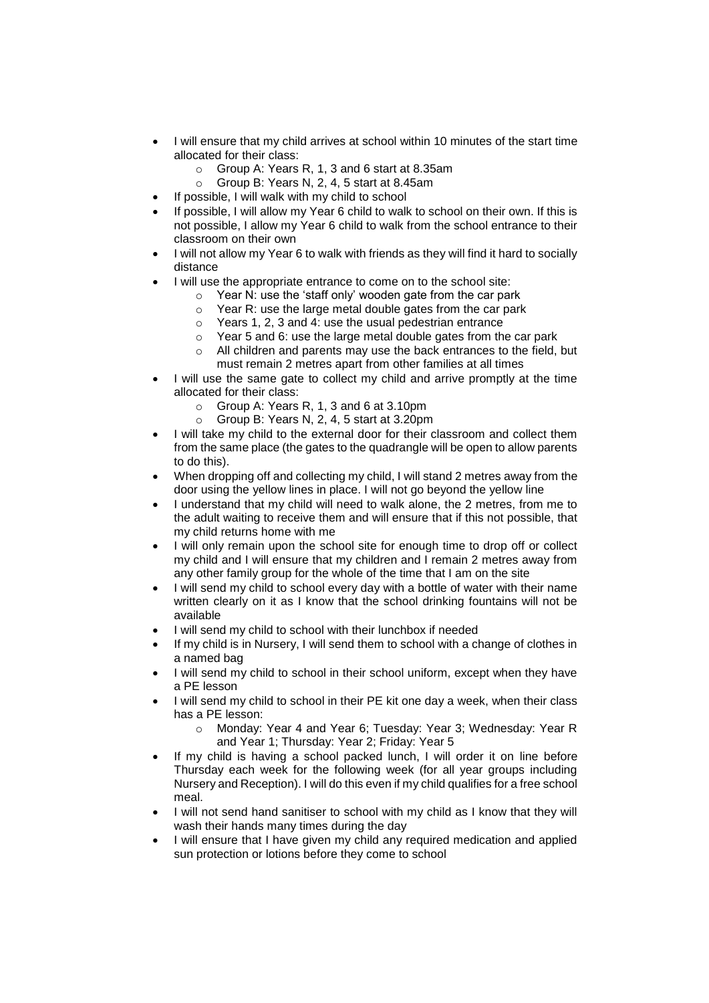- I will ensure that my child arrives at school within 10 minutes of the start time allocated for their class:
	- o Group A: Years R, 1, 3 and 6 start at 8.35am
	- o Group B: Years N, 2, 4, 5 start at 8.45am
- If possible, I will walk with my child to school
- If possible, I will allow my Year 6 child to walk to school on their own. If this is not possible, I allow my Year 6 child to walk from the school entrance to their classroom on their own
- I will not allow my Year 6 to walk with friends as they will find it hard to socially distance
- I will use the appropriate entrance to come on to the school site:
	- $\circ$  Year N: use the 'staff only' wooden gate from the car park
	- $\circ$  Year R: use the large metal double gates from the car park
	- o Years 1, 2, 3 and 4: use the usual pedestrian entrance
	- $\circ$  Year 5 and 6: use the large metal double gates from the car park
	- o All children and parents may use the back entrances to the field, but must remain 2 metres apart from other families at all times
- I will use the same gate to collect my child and arrive promptly at the time allocated for their class:
	- o Group A: Years R, 1, 3 and 6 at 3.10pm
	- o Group B: Years N, 2, 4, 5 start at 3.20pm
- I will take my child to the external door for their classroom and collect them from the same place (the gates to the quadrangle will be open to allow parents to do this).
- When dropping off and collecting my child, I will stand 2 metres away from the door using the yellow lines in place. I will not go beyond the yellow line
- I understand that my child will need to walk alone, the 2 metres, from me to the adult waiting to receive them and will ensure that if this not possible, that my child returns home with me
- I will only remain upon the school site for enough time to drop off or collect my child and I will ensure that my children and I remain 2 metres away from any other family group for the whole of the time that I am on the site
- I will send my child to school every day with a bottle of water with their name written clearly on it as I know that the school drinking fountains will not be available
- I will send my child to school with their lunchbox if needed
- If my child is in Nursery, I will send them to school with a change of clothes in a named bag
- I will send my child to school in their school uniform, except when they have a PE lesson
- I will send my child to school in their PE kit one day a week, when their class has a PE lesson:
	- o Monday: Year 4 and Year 6; Tuesday: Year 3; Wednesday: Year R and Year 1; Thursday: Year 2; Friday: Year 5
- If my child is having a school packed lunch, I will order it on line before Thursday each week for the following week (for all year groups including Nursery and Reception). I will do this even if my child qualifies for a free school meal.
- I will not send hand sanitiser to school with my child as I know that they will wash their hands many times during the day
- I will ensure that I have given my child any required medication and applied sun protection or lotions before they come to school